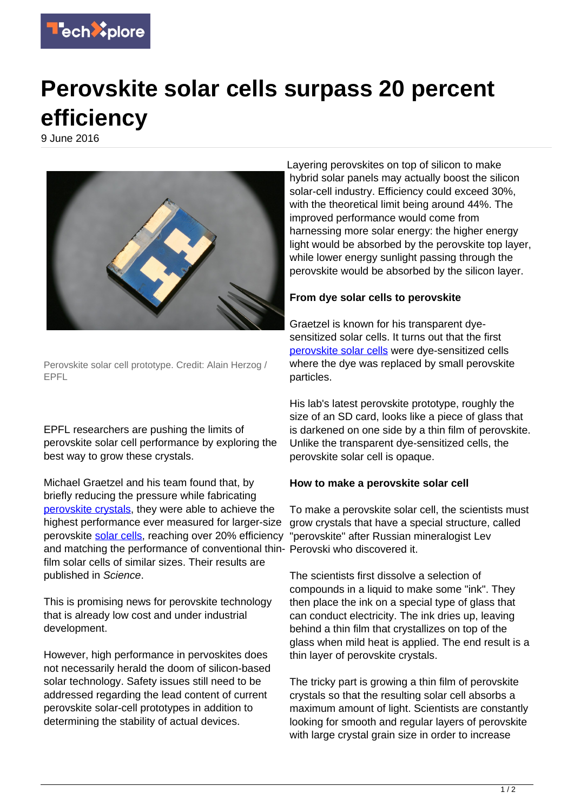

## **Perovskite solar cells surpass 20 percent efficiency**

9 June 2016



Perovskite solar cell prototype. Credit: Alain Herzog / EPFL

EPFL researchers are pushing the limits of perovskite solar cell performance by exploring the best way to grow these crystals.

Michael Graetzel and his team found that, by briefly reducing the pressure while fabricating [perovskite crystals,](https://techxplore.com/tags/perovskite+crystals/) they were able to achieve the highest performance ever measured for larger-size perovskite [solar cells](https://techxplore.com/tags/solar+cells/), reaching over 20% efficiency and matching the performance of conventional thin-Perovski who discovered it. film solar cells of similar sizes. Their results are published in Science.

This is promising news for perovskite technology that is already low cost and under industrial development.

However, high performance in pervoskites does not necessarily herald the doom of silicon-based solar technology. Safety issues still need to be addressed regarding the lead content of current perovskite solar-cell prototypes in addition to determining the stability of actual devices.

Layering perovskites on top of silicon to make hybrid solar panels may actually boost the silicon solar-cell industry. Efficiency could exceed 30%, with the theoretical limit being around 44%. The improved performance would come from harnessing more solar energy: the higher energy light would be absorbed by the perovskite top layer, while lower energy sunlight passing through the perovskite would be absorbed by the silicon layer.

## **From dye solar cells to perovskite**

Graetzel is known for his transparent dyesensitized solar cells. It turns out that the first [perovskite solar cells](https://techxplore.com/tags/perovskite+solar+cells/) were dye-sensitized cells where the dye was replaced by small perovskite particles.

His lab's latest perovskite prototype, roughly the size of an SD card, looks like a piece of glass that is darkened on one side by a thin film of perovskite. Unlike the transparent dye-sensitized cells, the perovskite solar cell is opaque.

## **How to make a perovskite solar cell**

To make a perovskite solar cell, the scientists must grow crystals that have a special structure, called "perovskite" after Russian mineralogist Lev

The scientists first dissolve a selection of compounds in a liquid to make some "ink". They then place the ink on a special type of glass that can conduct electricity. The ink dries up, leaving behind a thin film that crystallizes on top of the glass when mild heat is applied. The end result is a thin layer of perovskite crystals.

The tricky part is growing a thin film of perovskite crystals so that the resulting solar cell absorbs a maximum amount of light. Scientists are constantly looking for smooth and regular layers of perovskite with large crystal grain size in order to increase